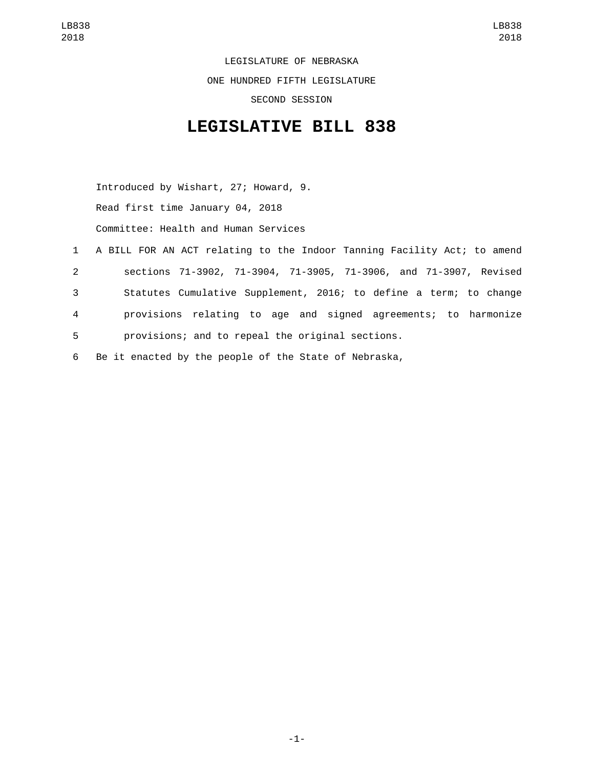LEGISLATURE OF NEBRASKA ONE HUNDRED FIFTH LEGISLATURE SECOND SESSION

## **LEGISLATIVE BILL 838**

Introduced by Wishart, 27; Howard, 9. Read first time January 04, 2018 Committee: Health and Human Services

- 1 A BILL FOR AN ACT relating to the Indoor Tanning Facility Act; to amend 2 sections 71-3902, 71-3904, 71-3905, 71-3906, and 71-3907, Revised 3 Statutes Cumulative Supplement, 2016; to define a term; to change 4 provisions relating to age and signed agreements; to harmonize 5 provisions; and to repeal the original sections.
- 6 Be it enacted by the people of the State of Nebraska,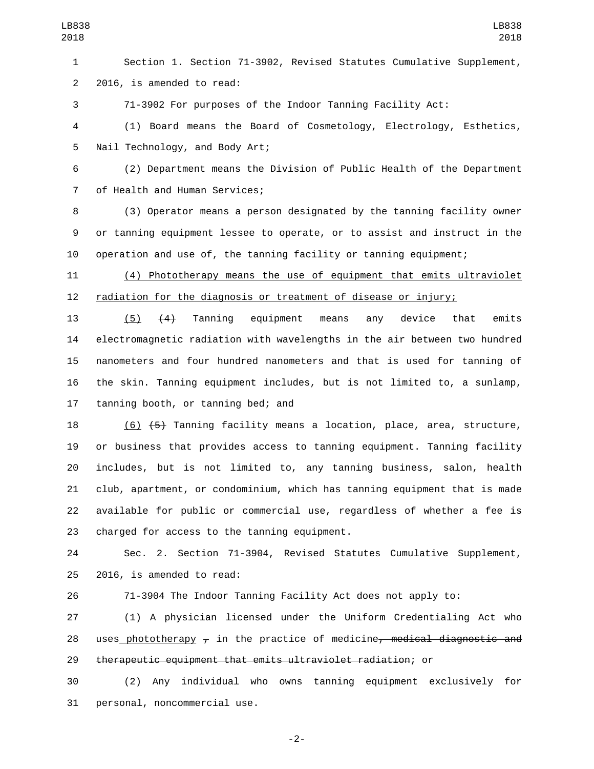Section 1. Section 71-3902, Revised Statutes Cumulative Supplement, 2 2016, is amended to read:

71-3902 For purposes of the Indoor Tanning Facility Act:

 (1) Board means the Board of Cosmetology, Electrology, Esthetics, 5 Nail Technology, and Body Art;

 (2) Department means the Division of Public Health of the Department 7 of Health and Human Services;

 (3) Operator means a person designated by the tanning facility owner or tanning equipment lessee to operate, or to assist and instruct in the operation and use of, the tanning facility or tanning equipment;

 (4) Phototherapy means the use of equipment that emits ultraviolet radiation for the diagnosis or treatment of disease or injury;

 (5) (4) Tanning equipment means any device that emits electromagnetic radiation with wavelengths in the air between two hundred nanometers and four hundred nanometers and that is used for tanning of the skin. Tanning equipment includes, but is not limited to, a sunlamp, 17 tanning booth, or tanning bed; and

 (6) (5) Tanning facility means a location, place, area, structure, or business that provides access to tanning equipment. Tanning facility includes, but is not limited to, any tanning business, salon, health club, apartment, or condominium, which has tanning equipment that is made available for public or commercial use, regardless of whether a fee is 23 charged for access to the tanning equipment.

 Sec. 2. Section 71-3904, Revised Statutes Cumulative Supplement,  $2016$ , is amended to read:

71-3904 The Indoor Tanning Facility Act does not apply to:

 (1) A physician licensed under the Uniform Credentialing Act who 28 uses phototherapy  $\tau$  in the practice of medicine, medical diagnostic and therapeutic equipment that emits ultraviolet radiation; or

 (2) Any individual who owns tanning equipment exclusively for 31 personal, noncommercial use.

-2-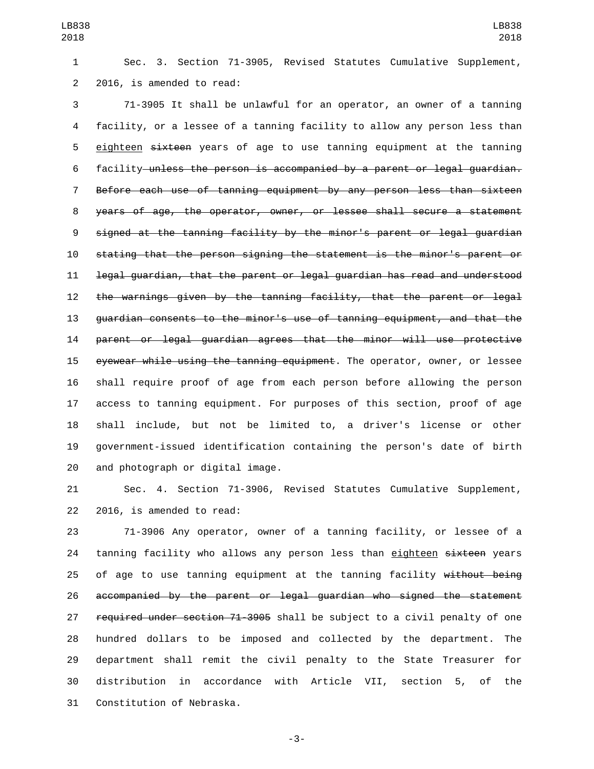Sec. 3. Section 71-3905, Revised Statutes Cumulative Supplement, 2 2016, is amended to read:

 71-3905 It shall be unlawful for an operator, an owner of a tanning facility, or a lessee of a tanning facility to allow any person less than 5 eighteen sixteen years of age to use tanning equipment at the tanning facility unless the person is accompanied by a parent or legal guardian. Before each use of tanning equipment by any person less than sixteen years of age, the operator, owner, or lessee shall secure a statement signed at the tanning facility by the minor's parent or legal guardian stating that the person signing the statement is the minor's parent or legal guardian, that the parent or legal guardian has read and understood the warnings given by the tanning facility, that the parent or legal guardian consents to the minor's use of tanning equipment, and that the parent or legal guardian agrees that the minor will use protective eyewear while using the tanning equipment. The operator, owner, or lessee shall require proof of age from each person before allowing the person access to tanning equipment. For purposes of this section, proof of age shall include, but not be limited to, a driver's license or other government-issued identification containing the person's date of birth 20 and photograph or digital image.

 Sec. 4. Section 71-3906, Revised Statutes Cumulative Supplement, 22 2016, is amended to read:

 71-3906 Any operator, owner of a tanning facility, or lessee of a 24 tanning facility who allows any person less than eighteen sixteen years 25 of age to use tanning equipment at the tanning facility without being accompanied by the parent or legal guardian who signed the statement 27 required under section 71-3905 shall be subject to a civil penalty of one hundred dollars to be imposed and collected by the department. The department shall remit the civil penalty to the State Treasurer for distribution in accordance with Article VII, section 5, of the 31 Constitution of Nebraska.

-3-